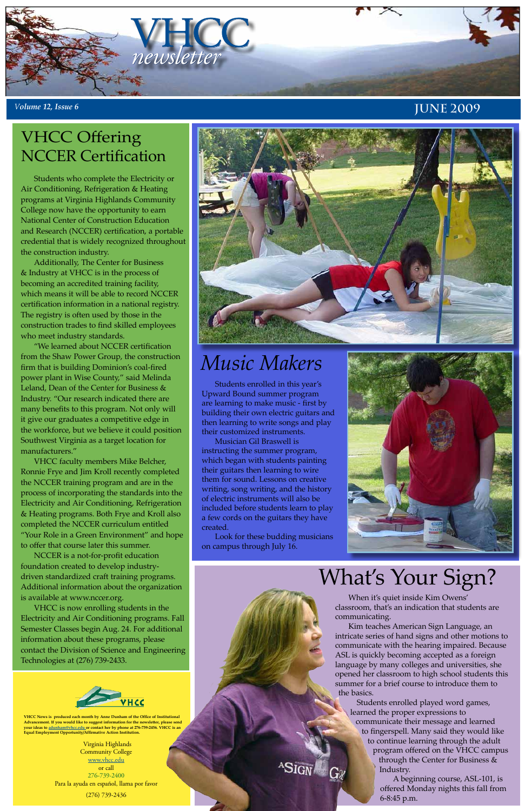Virginia Highlands Community College <u>www.vhcc.edu</u> or call 276-739-2400 Para la ayuda en español, llama por favor (276) 739-2436

**VHCC News is produced each month by Anne Dunham of the Office of Institutional Advancement. If you would like to suggest information for the newsletter, please send your ideas to adunham@vhcc.edu or contact her by phone at 276-739-2456. VHCC is an Equal Employment Opportunity/Affirmative Action Institution.**



### *<sup>V</sup>olume 12, Issue 6* **jUNE 2009**

Students who complete the Electricity or Air Conditioning, Refrigeration & Heating programs at Virginia Highlands Community College now have the opportunity to earn National Center of Construction Education and Research (NCCER) certification, a portable credential that is widely recognized throughout the construction industry.

Additionally, The Center for Business & Industry at VHCC is in the process of becoming an accredited training facility, which means it will be able to record NCCER certification information in a national registry. The registry is often used by those in the construction trades to find skilled employees who meet industry standards.

"We learned about NCCER certification from the Shaw Power Group, the construction firm that is building Dominion's coal-fired power plant in Wise County," said Melinda Leland, Dean of the Center for Business & Industry. "Our research indicated there are many benefits to this program. Not only will it give our graduates a competitive edge in the workforce, but we believe it could position Southwest Virginia as a target location for manufacturers."

VHCC faculty members Mike Belcher, Ronnie Frye and Jim Kroll recently completed the NCCER training program and are in the process of incorporating the standards into the Electricity and Air Conditioning, Refrigeration & Heating programs. Both Frye and Kroll also completed the NCCER curriculum entitled "Your Role in a Green Environment" and hope to offer that course later this summer.

NCCER is a not-for-profit education foundation created to develop industrydriven standardized craft training programs. Additional information about the organization is available at www.nccer.org.



VHCC is now enrolling students in the Electricity and Air Conditioning programs. Fall Semester Classes begin Aug. 24. For additional information about these programs, please contact the Division of Science and Engineering Technologies at (276) 739-2433.



# VHCC Offering NCCER Certification





# *Music Makers*

Students enrolled in this year's Upward Bound summer program are learning to make music - first by building their own electric guitars and then learning to write songs and play their customized instruments.

Musician Gil Braswell is instructing the summer program, which began with students painting their guitars then learning to wire them for sound. Lessons on creative writing, song writing, and the history of electric instruments will also be included before students learn to play a few cords on the guitars they have created.

Look for these budding musicians on campus through July 16.



When it's quiet inside Kim Owens' classroom, that's an indication that students are communicating.

Kim teaches American Sign Language, an intricate series of hand signs and other motions to communicate with the hearing impaired. Because ASL is quickly becoming accepted as a foreign language by many colleges and universities, she opened her classroom to high school students this summer for a brief course to introduce them to the basics.

 Students enrolled played word games, learned the proper expressions to communicate their message and learned to fingerspell. Many said they would like to continue learning through the adult program offered on the VHCC campus through the Center for Business & Industry.

> A beginning course, ASL-101, is offered Monday nights this fall from 6-8:45 p.m.